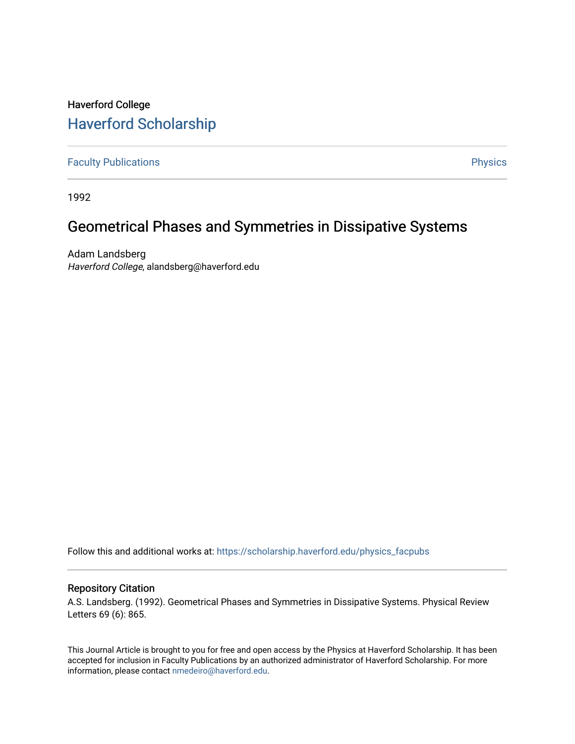## Haverford College [Haverford Scholarship](https://scholarship.haverford.edu/)

[Faculty Publications](https://scholarship.haverford.edu/physics_facpubs) **Physics** 

1992

## Geometrical Phases and Symmetries in Dissipative Systems

Adam Landsberg Haverford College, alandsberg@haverford.edu

Follow this and additional works at: [https://scholarship.haverford.edu/physics\\_facpubs](https://scholarship.haverford.edu/physics_facpubs?utm_source=scholarship.haverford.edu%2Fphysics_facpubs%2F560&utm_medium=PDF&utm_campaign=PDFCoverPages) 

### Repository Citation

A.S. Landsberg. (1992). Geometrical Phases and Symmetries in Dissipative Systems. Physical Review Letters 69 (6): 865.

This Journal Article is brought to you for free and open access by the Physics at Haverford Scholarship. It has been accepted for inclusion in Faculty Publications by an authorized administrator of Haverford Scholarship. For more information, please contact [nmedeiro@haverford.edu.](mailto:nmedeiro@haverford.edu)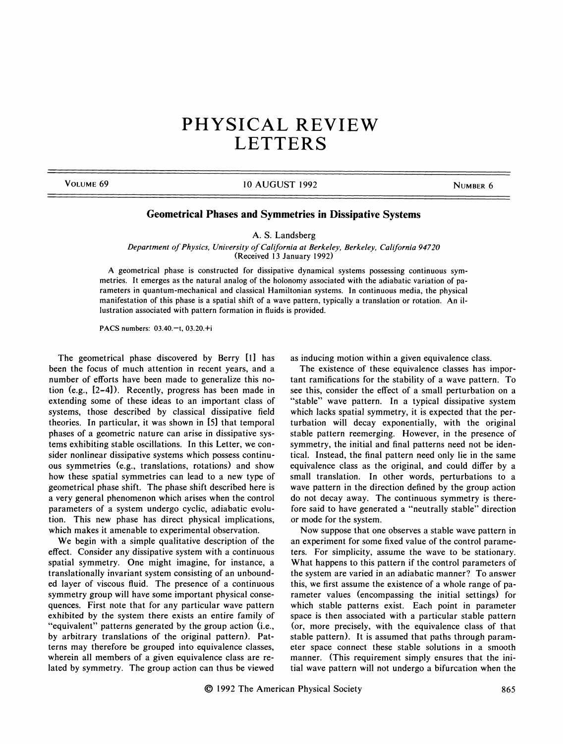# PHYSICAL REVIEW **LETTERS**

#### VOLUME 69 NUMBER 6 10 AUGUST 1992

### Geometrical Phases and Symmetries in Dissipative Systems

A. S. Landsberg

Department of Physics, University of California at Berkeley, Berkeley, California 94720 (Received 13 January 1992)

A geometrical phase is constructed for dissipative dynamical systems possessing continuous symmetries. It emerges as the natural analog of the holonomy associated with the adiabatic variation of parameters in quantum-mechanical and classical Hamiltonian systems. In continuous media, the physical manifestation of this phase is a spatial shift of a wave pattern, typically a translation or rotation. An illustration associated with pattern formation in fluids is provided.

PACS numbers: 03.40.—t, 03.20.+i

The geometrical phase discovered by Berry [11 has been the focus of much attention in recent years, and a number of efforts have been made to generalize this notion (e.g., [2-4]). Recently, progress has been made in extending some of these ideas to an important class of systems, those described by classical dissipative field theories. In particular, it was shown in [5) that temporal phases of a geometric nature can arise in dissipative systems exhibiting stable oscillations. In this Letter, we consider nonlinear dissipative systems which possess continuous symmetries (e.g., translations, rotations) and show how these spatial symmetries can lead to a new type of geometrical phase shift. The phase shift described here is a very general phenomenon which arises when the control parameters of a system undergo cyclic, adiabatic evolution. This new phase has direct physical implications, which makes it amenable to experimental observation.

We begin with a simple qualitative description of the effect. Consider any dissipative system with a continuous spatial symmetry. One might imagine, for instance, a translationally invariant system consisting of an unbounded layer of viscous fluid. The presence of a continuous symmetry group will have some important physical consequences. First note that for any particular wave pattern exhibited by the system there exists an entire family of "equivalent" patterns generated by the group action (i.e., by arbitrary translations of the original pattern). Patterns may therefore be grouped into equivalence classes, wherein all members of a given equivalence class are related by symmetry. The group action can thus be viewed

as inducing motion within a given equivalence class.

The existence of these equivalence classes has important ramifications for the stability of a wave pattern. To see this, consider the effect of a small perturbation on a "stable" wave pattern. In a typical dissipative system which lacks spatial symmetry, it is expected that the perturbation will decay exponentially, with the original stable pattern reemerging. However, in the presence of symmetry, the initial and final patterns need not be identical. Instead, the final pattern need only lie in the same equivalence class as the original, and could differ by a small translation. In other words, perturbations to a wave pattern in the direction defined by the group action do not decay away. The continuous symmetry is therefore said to have generated a "neutrally stable" direction or mode for the system.

Now suppose that one observes a stable wave pattern in an experiment for some fixed value of the control parameters. For simplicity, assume the wave to be stationary. What happens to this pattern if the control parameters of the system are varied in an adiabatic manner'? To answer this, we first assume the existence of a whole range of parameter values (encompassing the initial settings) for which stable patterns exist. Each point in parameter space is then associated with a particular stable pattern (or, more precisely, with the equivalence class of that stable pattern). It is assumed that paths through parameter space connect these stable solutions in a smooth manner. (This requirement simply ensures that the initial wave pattern will not undergo a bifurcation when the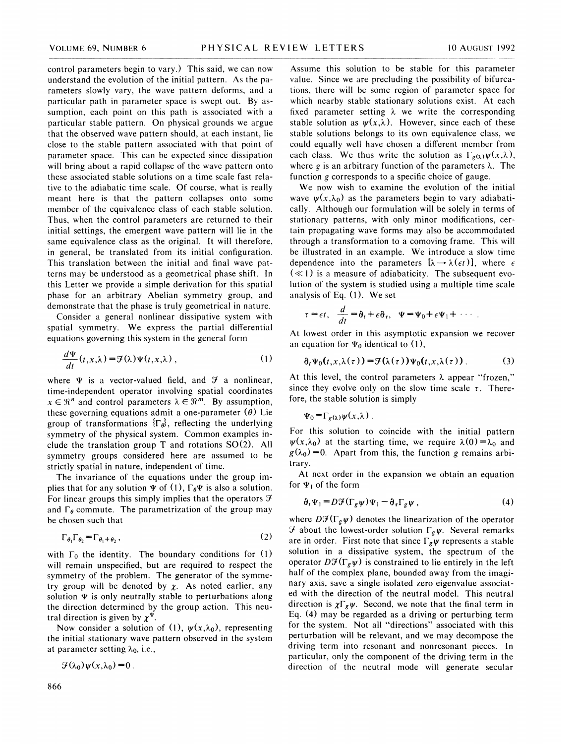control parameters begin to vary.) This said, we can now understand the evolution of the initial pattern. As the parameters slowly vary, the wave pattern deforms, and a particular path in parameter space is swept out. By assumption, each point on this path is associated with a particular stable pattern. On physical grounds we argue that the observed wave pattern should, at each instant, lie close to the stable pattern associated with that point of parameter space. This can be expected since dissipation will bring about a rapid collapse of the wave pattern onto these associated stable solutions on a time scale fast relative to the adiabatic time scale. Of course, what is really meant here is that the pattern collapses onto some member of the equivalence class of each stable solution. Thus, when the control parameters are returned to their initial settings, the emergent wave pattern will lie in the same equivalence class as the original. It will therefore, in general, be translated from its initial configuration. This translation between the initial and final wave patterns may be understood as a geometrical phase shift. In this Letter we provide a simple derivation for this spatial phase for an arbitrary Abelian symmetry group, and demonstrate that the phase is truly geometrical in nature.

Consider a general nonlinear dissipative system with spatial symmetry. We express the partial differential equations governing this system in the general form

$$
\frac{d\Psi}{dt}(t,x,\lambda) = \mathcal{F}(\lambda)\Psi(t,x,\lambda) , \qquad (1) \qquad \mathfrak{d}_t\Psi_0(t,x,\lambda(\tau)) = \mathcal{F}(\lambda(\tau))\Psi_0(t,x,\lambda(\tau)) . \qquad (3)
$$

where  $\Psi$  is a vector-valued field, and  $\mathcal F$  a nonlinear, time-independent operator involving spatial coordinates  $x \in \mathbb{R}^n$  and control parameters  $\lambda \in \mathbb{R}^m$ . By assumption, these governing equations admit a one-parameter  $(\theta)$  Lie group of transformations  $\{\Gamma_{\theta}\}\$ , reflecting the underlying symmetry of the physical system. Common examples include the translation group T and rotations SO(2). All symmetry groups considered here are assumed to be strictly spatial in nature, independent of time.

The invariance of the equations under the group implies that for any solution  $\Psi$  of (1),  $\Gamma_{\theta}\Psi$  is also a solution. For linear groups this simply implies that the operators  $\mathcal F$ and  $\Gamma_{\theta}$  commute. The parametrization of the group may be chosen such that

$$
\Gamma_{\theta_1} \Gamma_{\theta_2} = \Gamma_{\theta_1 + \theta_2}, \qquad (2)
$$

with  $\Gamma_0$  the identity. The boundary conditions for (1) will remain unspecified, but are required to respect the symmetry of the problem. The generator of the symmetry group will be denoted by  $\chi$ . As noted earlier, any solution  $\Psi$  is only neutrally stable to perturbations along the direction determined by the group action. This neutral direction is given by  $\chi^{\Psi}$ .

Now consider a solution of (1),  $\psi(x, \lambda_0)$ , representing the initial stationary wave pattern observed in the system at parameter setting  $\lambda_0$ , i.e.,

$$
\mathcal{F}(\lambda_0)\psi(x,\lambda_0)=0.
$$

Assume this solution to be stable for this parameter value. Since we are precluding the possibility of bifurcations, there will be some region of parameter space for which nearby stable stationary solutions exist. At each fixed parameter setting  $\lambda$  we write the corresponding stable solution as  $\psi(x, \lambda)$ . However, since each of these stable solutions belongs to its own equivalence class, we could equally well have chosen a different member from each class. We thus write the solution as  $\Gamma_{g(\lambda)}\psi(x,\lambda)$ , where g is an arbitrary function of the parameters  $\lambda$ . The function g corresponds to a specific choice of gauge.

We now wish to examine the evolution of the initial wave  $\psi(x, \lambda_0)$  as the parameters begin to vary adiabatically. Although our formulation will be solely in terms of stationary patterns, with only minor modifications, certain propagating wave forms may also be accommodated through a transformation to a comoving frame. This will be illustrated in an example. We introduce a slow time dependence into the parameters  $[\lambda \rightarrow \lambda(\epsilon t)]$ , where  $\epsilon$  $(\ll 1)$  is a measure of adiabaticity. The subsequent evolution of the system is studied using a multiple time scale analysis of Eq. (1). We set

$$
\tau = \epsilon t, \quad \frac{d}{dt} = \partial_t + \epsilon \partial_{\tau}, \quad \Psi = \Psi_0 + \epsilon \Psi_1 + \cdots
$$

At lowest order in this asymptotic expansion we recover an equation for  $\Psi_0$  identical to (1),

$$
\partial_t \Psi_0(t, x, \lambda(\tau)) = \mathcal{F}(\lambda(\tau)) \Psi_0(t, x, \lambda(\tau)). \tag{3}
$$

At this level, the control parameters  $\lambda$  appear "frozen," since they evolve only on the slow time scale  $\tau$ . Therefore, the stable solution is simply

$$
\Psi_0 = \Gamma_{g(\lambda)} \psi(x, \lambda) .
$$

For this solution to coincide with the initial pattern  $\psi(x, \lambda_0)$  at the starting time, we require  $\lambda(0) = \lambda_0$  and  $g(\lambda_0) = 0$ . Apart from this, the function g remains arbitrary.

At next order in the expansion we obtain an equation for  $\Psi_1$  of the form

$$
\partial_t \Psi_1 = D \mathcal{F} (\Gamma_g \psi) \Psi_1 - \partial_\tau \Gamma_g \psi , \qquad (4)
$$

where  $D\mathcal{F}(\Gamma_g \psi)$  denotes the linearization of the operator  $\mathcal F$  about the lowest-order solution  $\Gamma_g \psi$ . Several remarks are in order. First note that since  $\Gamma_g \psi$  represents a stable solution in a dissipative system, the spectrum of the operator  $D\mathcal{F}(\Gamma_g \psi)$  is constrained to lie entirely in the left half of the complex plane, bounded away from the imaginary axis, save a single isolated zero eigenvalue associated with the direction of the neutral model. This neutral direction is  $\chi \Gamma_g \psi$ . Second, we note that the final term in Eq. (4) may be regarded as a driving or perturbing term for the system. Not all "directions" associated with this perturbation will be relevant, and we may decompose the driving term into resonant and nonresonant pieces. In particular, only the component of the driving term in the direction of the neutral mode will generate secular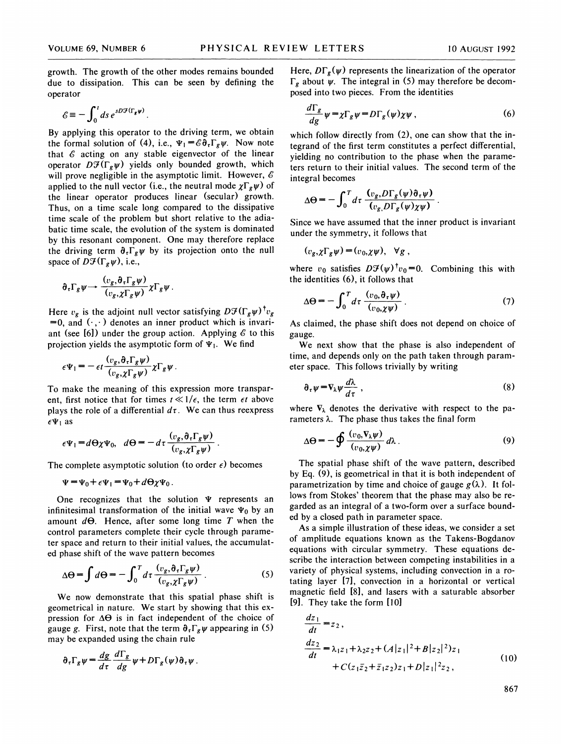growth. The growth of the other modes remains bounded due to dissipation. This can be seen by defining the operator

$$
\mathscr{E} \equiv -\int_0^t ds \, e^{sD\mathcal{F}(\Gamma_g \psi)}
$$

By applying this operator to the driving term, we obtain the formal solution of (4), i.e.,  $\Psi_1 = \mathscr{E} \partial_\tau \Gamma_g \psi$ . Now note that  $\mathscr E$  acting on any stable eigenvector of the linear operator  $D\mathcal{F}(\Gamma_g\psi)$  yields only bounded growth, which will prove negligible in the asymptotic limit. However,  $\epsilon$ applied to the null vector (i.e., the neutral mode  $\chi \Gamma_g \psi$ ) of the linear operator produces linear (secular) growth. Thus, on a time scale long compared to the dissipative time scale of the problem but short relative to the adiabatic time scale, the evolution of the system is dominated by this resonant component. One may therefore replace the driving term  $\partial_{\tau}\Gamma_{g}\psi$  by its projection onto the null space of  $D\mathcal{F}(\Gamma_g\psi)$ , i.e.,

$$
\partial_{\tau}\Gamma_g\psi \longrightarrow \frac{(v_g,\partial_{\tau}\Gamma_g\psi)}{(v_g,\chi\Gamma_g\psi)}\chi\Gamma_g\psi.
$$

Here  $v_g$  is the adjoint null vector satisfying  $D\mathcal{F}(\Gamma_g\psi)^\dagger v_g$  $=0$ , and  $(.,.)$  denotes an inner product which is invariant (see [6]) under the group action. Applying  $\epsilon$  to this projection yields the asymptotic form of  $\Psi_1$ . We find

$$
\epsilon \Psi_1 = -\epsilon t \frac{(v_g, \partial_\tau \Gamma_g \psi)}{(v_g, \chi \Gamma_g \psi)} \chi \Gamma_g \psi.
$$

To make the meaning of this expression more transparent, first notice that for times  $t \ll 1/\epsilon$ , the term  $\epsilon t$  above plays the role of a differential  $d\tau$ . We can thus reexpress  $\epsilon \Psi_1$  as

$$
\epsilon \Psi_1 = d\Theta \chi \Psi_0, \quad d\Theta = -d\tau \frac{(v_g, \partial_\tau \Gamma_g \psi)}{(v_g, \chi \Gamma_g \psi)}.
$$

The complete asymptotic solution (to order  $\epsilon$ ) becomes

$$
\Psi = \Psi_0 + \epsilon \Psi_1 = \Psi_0 + d\Theta \chi \Psi_0.
$$

One recognizes that the solution  $\Psi$  represents an infinitesimal transformation of the initial wave  $\Psi_0$  by an amount  $d\Theta$ . Hence, after some long time T when the control parameters complete their cycle through parameter space and return to their initial values, the accumulated phase shift of the wave pattern becomes

$$
\Delta \Theta = \int d\Theta = -\int_0^T d\tau \frac{(v_g, \partial_\tau \Gamma_g \psi)}{(v_g, \chi \Gamma_g \psi)}.
$$
 (5)

We now demonstrate that this spatial phase shift is geometrical in nature. We start by showing that this expression for  $\Delta\Theta$  is in fact independent of the choice of gauge g. First, note that the term  $\partial_{\tau}\Gamma_{g}\psi$  appearing in (5) may be expanded using the chain rule

$$
\partial_{\tau}\Gamma_g\psi = \frac{dg}{d\tau}\frac{d\Gamma_g}{dg}\psi + D\Gamma_g(\psi)\partial_{\tau}\psi.
$$

Here,  $D\Gamma_{g}(\psi)$  represents the linearization of the operator  $\Gamma_g$  about  $\psi$ . The integral in (5) may therefore be decom posed into two pieces. From the identities

$$
\frac{d\Gamma_g}{dg}\psi = \chi \Gamma_g \psi = D\Gamma_g(\psi)\chi\psi\,,\tag{6}
$$

which follow directly from  $(2)$ , one can show that the integrand of the first term constitutes a perfect differential, yielding no contribution to the phase when the parameters return to their initial values. The second term of the integral becomes

$$
\Delta\Theta = -\int_0^T d\tau \, \frac{(v_g, D\Gamma_g(\psi)\partial_\tau \psi)}{(v_g, D\Gamma_g(\psi)\chi\psi)}
$$

Since we have assumed that the inner product is invariant under the symmetry, it follows that

$$
(\nu_g, \chi \Gamma_g \psi) = (\nu_0, \chi \psi), \quad \forall g,
$$

where  $v_0$  satisfies  $D\mathcal{F}(\psi)^\dagger v_0=0$ . Combining this with the identities (6), it follows that

$$
\Delta\Theta = -\int_0^T d\tau \, \frac{(v_0, \partial_\tau \psi)}{(v_0, \chi \psi)} \,. \tag{7}
$$

As claimed, the phase shift does not depend on choice of gauge.

We next show that the phase is also independent of time, and depends only on the path taken through parameter space. This follows trivially by writing

$$
\partial_{\tau}\psi = \nabla_{\lambda}\psi \frac{d\lambda}{d\tau} \tag{8}
$$

where  $\nabla_{\lambda}$  denotes the derivative with respect to the parameters  $\lambda$ . The phase thus takes the final form

$$
\Delta \Theta = -\oint \frac{(v_0, \nabla_\lambda \psi)}{(v_0, \chi \psi)} d\lambda \,. \tag{9}
$$

The spatial phase shift of the wave pattern, described by Eq. (9), is geometrical in that it is both independent of parametrization by time and choice of gauge  $g(\lambda)$ . It follows from Stokes' theorem that the phase may also be regarded as an integral of a two-form over a surface bounded by a closed path in parameter space.

As a simple illustration of these ideas, we consider a set of amplitude equations known as the Takens-Bogdanov equations with circular symmetry. These equations describe the interaction between competing instabilities in a variety of physical systems, including convection in a rotating layer [7], convection in a horizontal or vertical magnetic field [8], and lasers with a saturable absorber [9]. They take the form [IO]

$$
\frac{dz_1}{dt} = z_2, \n\frac{dz_2}{dt} = \lambda_1 z_1 + \lambda_2 z_2 + (A|z_1|^2 + B|z_2|^2)z_1 \n+ C(z_1 \bar{z}_2 + \bar{z}_1 z_2)z_1 + D|z_1|^2 z_2,
$$
\n(10)

867